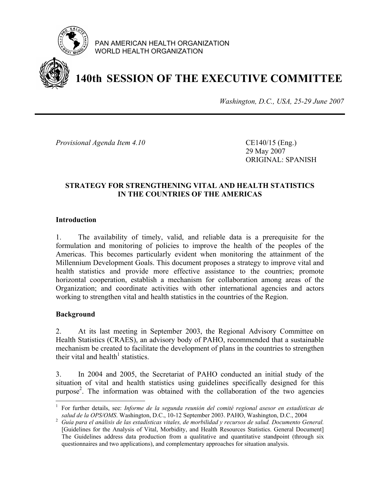

PAN AMERICAN HEALTH ORGANIZATION WORLD HEALTH ORGANIZATION



# **140th SESSION OF THE EXECUTIVE COMMITTEE**

*Washington, D.C., USA, 25-29 June 2007*

*Provisional Agenda Item 4.10* CE140/15 (Eng.)

 29 May 2007 ORIGINAL: SPANISH

### **STRATEGY FOR STRENGTHENING VITAL AND HEALTH STATISTICS IN THE COUNTRIES OF THE AMERICAS**

#### **Introduction**

1. The availability of timely, valid, and reliable data is a prerequisite for the formulation and monitoring of policies to improve the health of the peoples of the Americas. This becomes particularly evident when monitoring the attainment of the Millennium Development Goals. This document proposes a strategy to improve vital and health statistics and provide more effective assistance to the countries; promote horizontal cooperation, establish a mechanism for collaboration among areas of the Organization; and coordinate activities with other international agencies and actors working to strengthen vital and health statistics in the countries of the Region.

#### **Background**

 $\overline{a}$ 

2. At its last meeting in September 2003, the Regional Advisory Committee on Health Statistics (CRAES), an advisory body of PAHO, recommended that a sustainable mechanism be created to facilitate the development of plans in the countries to strengthen their vital and health<sup>1</sup> statistics.

3. In 2004 and 2005, the Secretariat of PAHO conducted an initial study of the situation of vital and health statistics using guidelines specifically designed for this purpose<sup>2</sup>. The information was obtained with the collaboration of the two agencies

<sup>1</sup> For further details, see: *Informe de la segunda reunión del comité regional asesor en estadísticas de* 

*salud de la OPS/OMS.* Washington, D.C., 10-12 September 2003. PAHO, Washington, D.C., 2004<br><sup>2</sup> Guía para el análisis de las estadísticas vitales, de morbilidad y recursos de salud. Documento General. [Guidelines for the Analysis of Vital, Morbidity, and Health Resources Statistics. General Document] The Guidelines address data production from a qualitative and quantitative standpoint (through six questionnaires and two applications), and complementary approaches for situation analysis.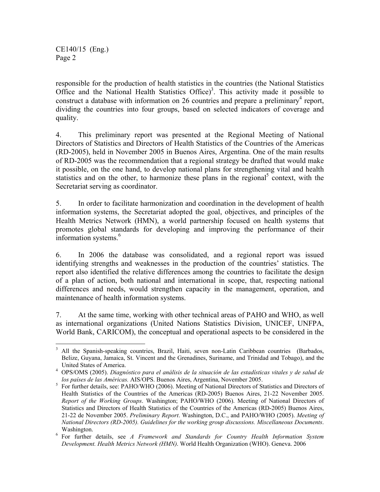CE140/15 (Eng.) Page 2

1

responsible for the production of health statistics in the countries (the National Statistics Office and the National Health Statistics Office)<sup>3</sup>. This activity made it possible to construct a database with information on  $26$  countries and prepare a preliminary<sup>4</sup> report, dividing the countries into four groups, based on selected indicators of coverage and quality.

4. This preliminary report was presented at the Regional Meeting of National Directors of Statistics and Directors of Health Statistics of the Countries of the Americas (RD-2005), held in November 2005 in Buenos Aires, Argentina. One of the main results of RD-2005 was the recommendation that a regional strategy be drafted that would make it possible, on the one hand, to develop national plans for strengthening vital and health statistics and on the other, to harmonize these plans in the regional<sup>5</sup> context, with the Secretariat serving as coordinator.

5. In order to facilitate harmonization and coordination in the development of health information systems, the Secretariat adopted the goal, objectives, and principles of the Health Metrics Network (HMN), a world partnership focused on health systems that promotes global standards for developing and improving the performance of their information systems.<sup>6</sup>

6. In 2006 the database was consolidated, and a regional report was issued identifying strengths and weaknesses in the production of the countries' statistics. The report also identified the relative differences among the countries to facilitate the design of a plan of action, both national and international in scope, that, respecting national differences and needs, would strengthen capacity in the management, operation, and maintenance of health information systems.

7. At the same time, working with other technical areas of PAHO and WHO, as well as international organizations (United Nations Statistics Division, UNICEF, UNFPA, World Bank, CARICOM), the conceptual and operational aspects to be considered in the

<sup>&</sup>lt;sup>3</sup> All the Spanish-speaking countries, Brazil, Haiti, seven non-Latin Caribbean countries (Barbados, Belize, Guyana, Jamaica, St. Vincent and the Grenadines, Suriname, and Trinidad and Tobago), and the United States of America. 4

OPS/OMS (2005). *Diagnóstico para el análisis de la situación de las estadísticas vitales y de salud de*  los países de las Américas. AIS/OPS. Buenos Aires, Argentina, November 2005.

<sup>&</sup>lt;sup>5</sup> For further details, see: PAHO/WHO (2006). Meeting of National Directors of Statistics and Directors of Health Statistics of the Countries of the Americas (RD-2005) Buenos Aires, 21-22 November 2005. *Report of the Working Groups*. Washington; PAHO/WHO (2006). Meeting of National Directors of Statistics and Directors of Health Statistics of the Countries of the Americas (RD-2005) Buenos Aires, 21-22 de November 2005. *Preliminary Report*. Washington, D.C., and PAHO/WHO (2005). *Meeting of National Directors (RD-2005). Guidelines for the working group discussions. Miscellaneous Documents*.

Washington.<br><sup>6</sup> For further details, see *A Framework and Standards for Country Health Information System Development. Health Metrics Network (HMN)*. World Health Organization (WHO). Geneva. 2006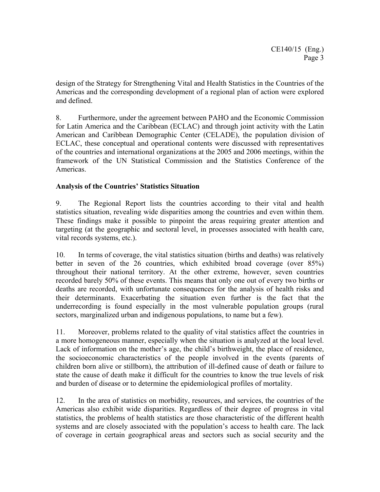design of the Strategy for Strengthening Vital and Health Statistics in the Countries of the Americas and the corresponding development of a regional plan of action were explored and defined.

8. Furthermore, under the agreement between PAHO and the Economic Commission for Latin America and the Caribbean (ECLAC) and through joint activity with the Latin American and Caribbean Demographic Center (CELADE), the population division of ECLAC, these conceptual and operational contents were discussed with representatives of the countries and international organizations at the 2005 and 2006 meetings, within the framework of the UN Statistical Commission and the Statistics Conference of the Americas.

## **Analysis of the Countries' Statistics Situation**

9. The Regional Report lists the countries according to their vital and health statistics situation, revealing wide disparities among the countries and even within them. These findings make it possible to pinpoint the areas requiring greater attention and targeting (at the geographic and sectoral level, in processes associated with health care, vital records systems, etc.).

10. In terms of coverage, the vital statistics situation (births and deaths) was relatively better in seven of the 26 countries, which exhibited broad coverage (over 85%) throughout their national territory. At the other extreme, however, seven countries recorded barely 50% of these events. This means that only one out of every two births or deaths are recorded, with unfortunate consequences for the analysis of health risks and their determinants. Exacerbating the situation even further is the fact that the underrecording is found especially in the most vulnerable population groups (rural sectors, marginalized urban and indigenous populations, to name but a few).

11. Moreover, problems related to the quality of vital statistics affect the countries in a more homogeneous manner, especially when the situation is analyzed at the local level. Lack of information on the mother's age, the child's birthweight, the place of residence, the socioeconomic characteristics of the people involved in the events (parents of children born alive or stillborn), the attribution of ill-defined cause of death or failure to state the cause of death make it difficult for the countries to know the true levels of risk and burden of disease or to determine the epidemiological profiles of mortality.

12. In the area of statistics on morbidity, resources, and services, the countries of the Americas also exhibit wide disparities. Regardless of their degree of progress in vital statistics, the problems of health statistics are those characteristic of the different health systems and are closely associated with the population's access to health care. The lack of coverage in certain geographical areas and sectors such as social security and the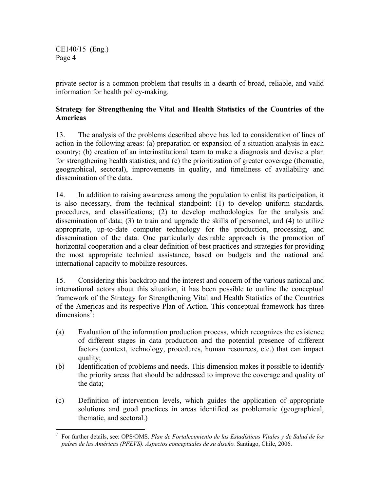CE140/15 (Eng.) Page 4

private sector is a common problem that results in a dearth of broad, reliable, and valid information for health policy-making.

## **Strategy for Strengthening the Vital and Health Statistics of the Countries of the Americas**

13. The analysis of the problems described above has led to consideration of lines of action in the following areas: (a) preparation or expansion of a situation analysis in each country; (b) creation of an interinstitutional team to make a diagnosis and devise a plan for strengthening health statistics; and (c) the prioritization of greater coverage (thematic, geographical, sectoral), improvements in quality, and timeliness of availability and dissemination of the data.

14. In addition to raising awareness among the population to enlist its participation, it is also necessary, from the technical standpoint: (1) to develop uniform standards, procedures, and classifications; (2) to develop methodologies for the analysis and dissemination of data; (3) to train and upgrade the skills of personnel, and (4) to utilize appropriate, up-to-date computer technology for the production, processing, and dissemination of the data. One particularly desirable approach is the promotion of horizontal cooperation and a clear definition of best practices and strategies for providing the most appropriate technical assistance, based on budgets and the national and international capacity to mobilize resources.

15. Considering this backdrop and the interest and concern of the various national and international actors about this situation, it has been possible to outline the conceptual framework of the Strategy for Strengthening Vital and Health Statistics of the Countries of the Americas and its respective Plan of Action. This conceptual framework has three dimensions<sup>7</sup>:

- (a) Evaluation of the information production process, which recognizes the existence of different stages in data production and the potential presence of different factors (context, technology, procedures, human resources, etc.) that can impact quality;
- (b) Identification of problems and needs. This dimension makes it possible to identify the priority areas that should be addressed to improve the coverage and quality of the data;
- (c) Definition of intervention levels, which guides the application of appropriate solutions and good practices in areas identified as problematic (geographical, thematic, and sectoral.)

 $\overline{a}$ 7 For further details, see: OPS/OMS. *Plan de Fortalecimiento de las Estadísticas Vitales y de Salud de los países de las Américas (PFEVS). Aspectos conceptuales de su diseño.* Santiago, Chile, 2006.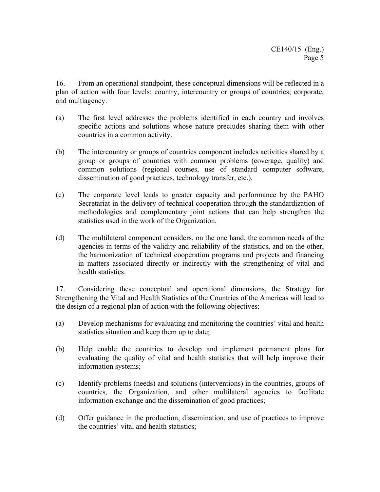16. From an operational standpoint, these conceptual dimensions will be reflected in a plan of action with four levels: country, intercountry or groups of countries; corporate, and multiagency.

- (a) The first level addresses the problems identified in each country and involves specific actions and solutions whose nature precludes sharing them with other countries in a common activity.
- (b) The intercountry or groups of countries component includes activities shared by a group or groups of countries with common problems (coverage, quality) and common solutions (regional courses, use of standard computer software, dissemination of good practices, technology transfer, etc.).
- (c) The corporate level leads to greater capacity and performance by the PAHO Secretariat in the delivery of technical cooperation through the standardization of methodologies and complementary joint actions that can help strengthen the statistics used in the work of the Organization.
- (d) The multilateral component considers, on the one hand, the common needs of the agencies in terms of the validity and reliability of the statistics, and on the other, the harmonization of technical cooperation programs and projects and financing in matters associated directly or indirectly with the strengthening of vital and health statistics.

17. Considering these conceptual and operational dimensions, the Strategy for Strengthening the Vital and Health Statistics of the Countries of the Americas will lead to the design of a regional plan of action with the following objectives:

- (a) Develop mechanisms for evaluating and monitoring the countries' vital and health statistics situation and keep them up to date;
- (b) Help enable the countries to develop and implement permanent plans for evaluating the quality of vital and health statistics that will help improve their information systems;
- (c) Identify problems (needs) and solutions (interventions) in the countries, groups of countries, the Organization, and other multilateral agencies to facilitate information exchange and the dissemination of good practices;
- (d) Offer guidance in the production, dissemination, and use of practices to improve the countries' vital and health statistics;